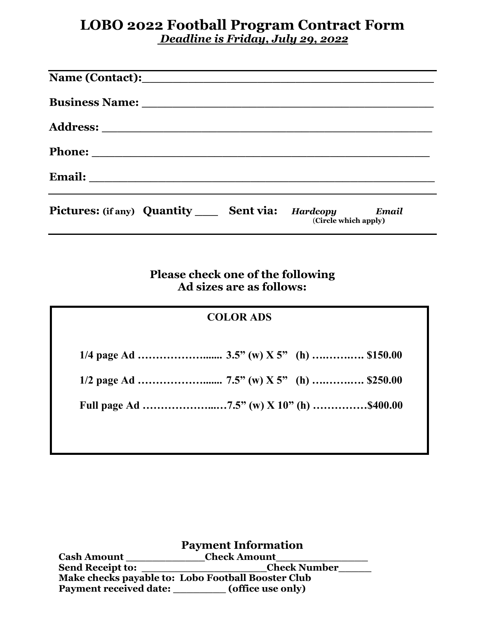## **LOBO 2022 Football Program Contract Form** *Deadline is Friday, July 29, 2022*

| Pictures: (if any) Quantity ______ Sent via: Hardcopy Email | (Circle which apply) |
|-------------------------------------------------------------|----------------------|

**Please check one of the following Ad sizes are as follows:**

## **COLOR ADS 1/4 page Ad ………………....... 3.5" (w) X 5" (h) ….…….…. \$150.00 1/2 page Ad ………………....... 7.5" (w) X 5" (h) ….…….…. \$250.00 Full page Ad ………………...…7.5" (w) X 10" (h) ……………\$400.00**

**Payment Information**<br>Cash Amount \_\_\_\_\_\_\_\_\_\_\_\_\_\_\_\_\_Check Amount  **Send Receipt to: \_\_\_\_\_\_\_\_\_\_\_\_\_\_\_\_\_\_\_Check Number\_\_\_\_\_ Make checks payable to: Lobo Football Booster Club Payment received date: \_\_\_\_\_\_\_\_ (office use only)**